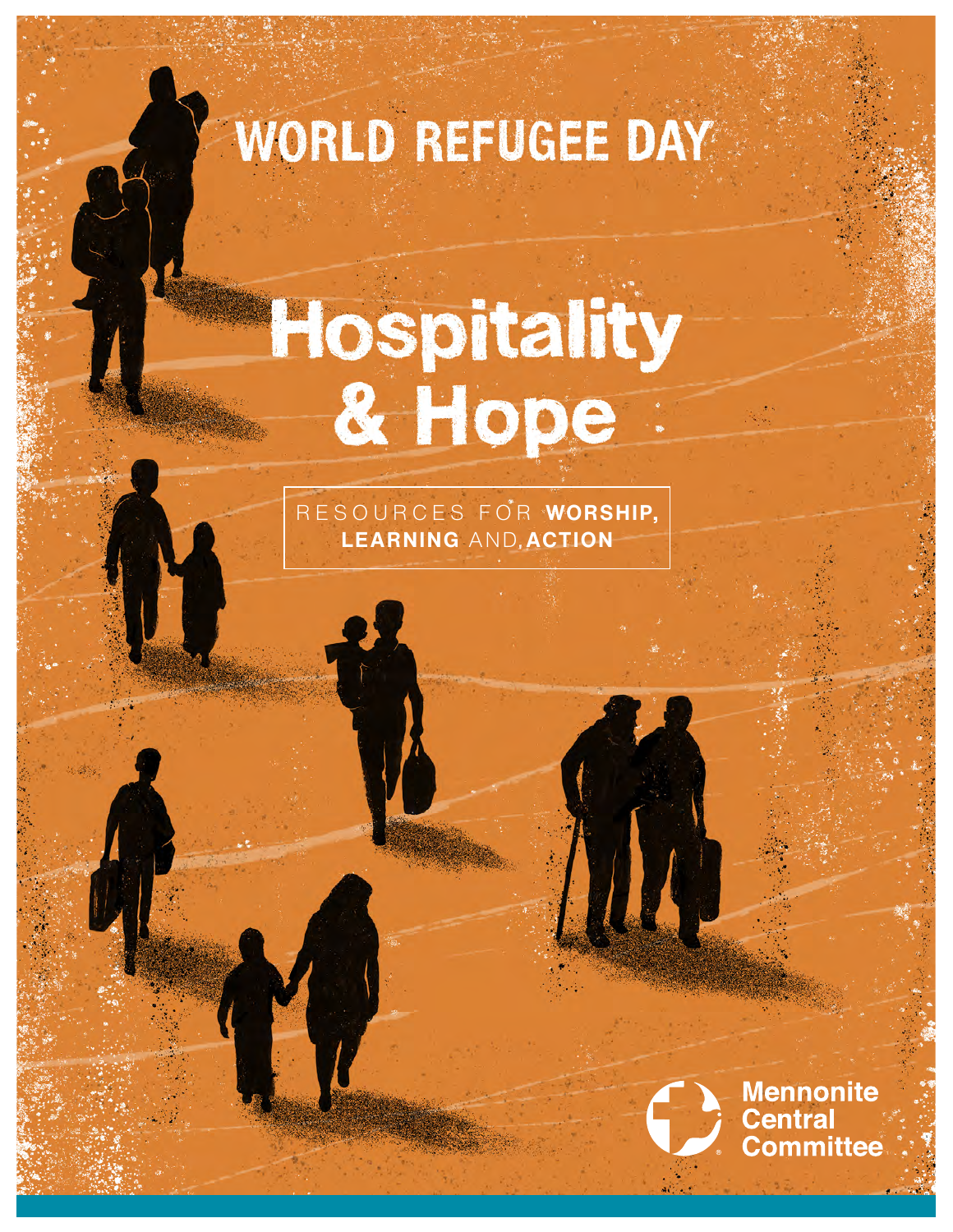# WORLD REFUGEE DAY

# Hospitality<br>& Hope

RESOURCES FOR **WORSHIP, LEARNING AND ACTION** 

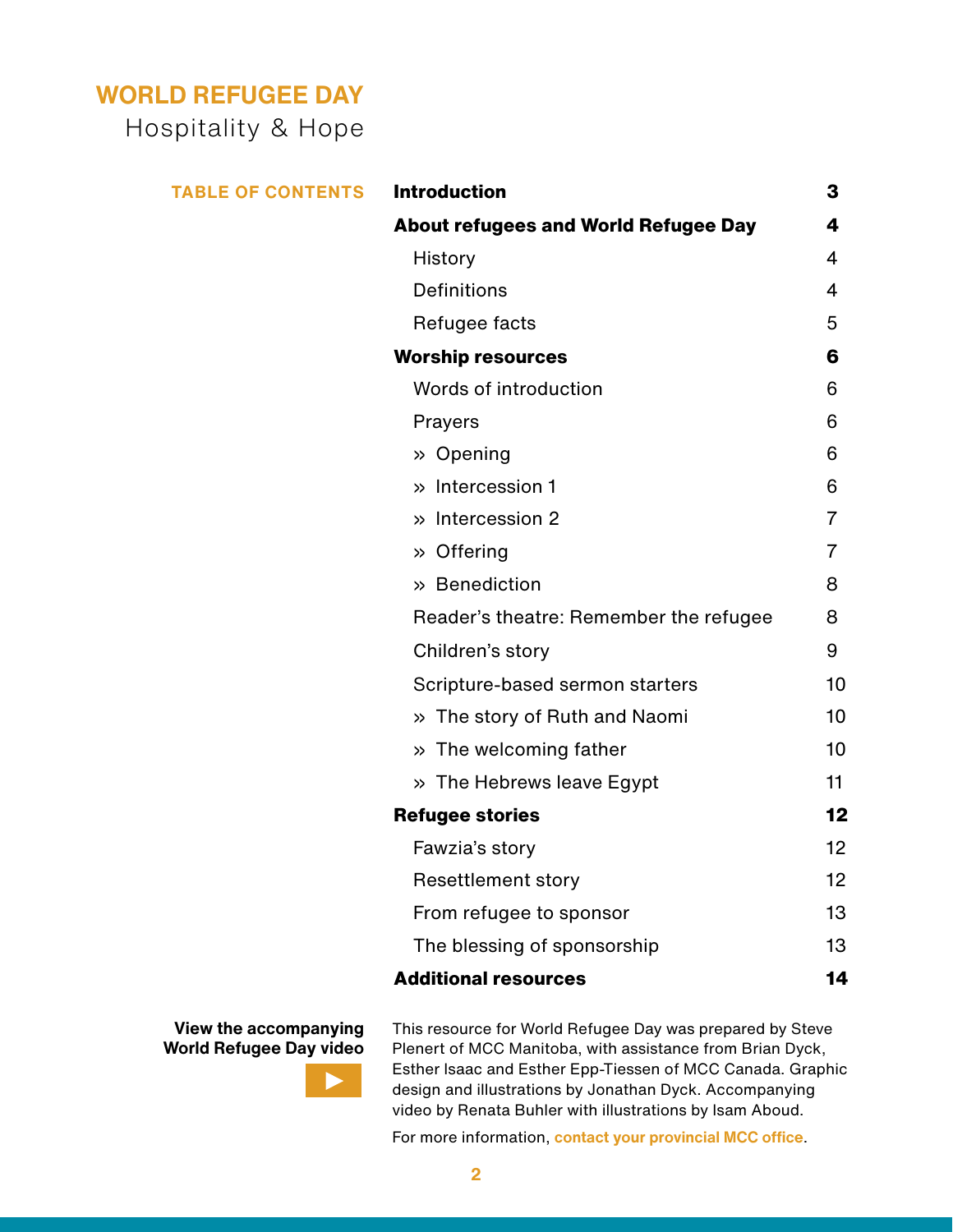# **WORLD REFUGEE DAY**

Hospitality & Hope

| <b>TABLE OF CONTENTS</b> | <b>Introduction</b>                         | 3              |
|--------------------------|---------------------------------------------|----------------|
|                          | <b>About refugees and World Refugee Day</b> | 4              |
|                          | History                                     | 4              |
|                          | <b>Definitions</b>                          | $\overline{4}$ |
|                          | Refugee facts                               | 5              |
|                          | <b>Worship resources</b>                    | 6              |
|                          | Words of introduction                       | 6              |
|                          | Prayers                                     | 6              |
|                          | » Opening                                   | 6              |
|                          | » Intercession 1                            | 6              |
|                          | » Intercession 2                            | $\overline{7}$ |
|                          | » Offering                                  | $\overline{7}$ |
|                          | » Benediction                               | 8              |
|                          | Reader's theatre: Remember the refugee      | 8              |
|                          | Children's story                            | 9              |
|                          | Scripture-based sermon starters             | 10             |
|                          | » The story of Ruth and Naomi               | 10             |
|                          | » The welcoming father                      | 10             |
|                          | » The Hebrews leave Egypt                   | 11             |
|                          | <b>Refugee stories</b>                      | $12 \,$        |
|                          | Fawzia's story                              | 12             |
|                          | <b>Resettlement story</b>                   | 12             |
|                          | From refugee to sponsor                     | 13             |
|                          | The blessing of sponsorship                 | 13             |
|                          | <b>Additional resources</b>                 | 14             |

**View the accompanying [World Refugee Day video](https://www.youtube.com/watch?v=OcDJNOrO9xc&t=1s)**



This resource for World Refugee Day was prepared by Steve Plenert of MCC Manitoba, with assistance from Brian Dyck, Esther Isaac and Esther Epp-Tiessen of MCC Canada. Graphic design and illustrations by Jonathan Dyck. Accompanying video by Renata Buhler with illustrations by Isam Aboud.

For more information, **[contact your provincial MCC office](https://mcccanada.ca/contact)**.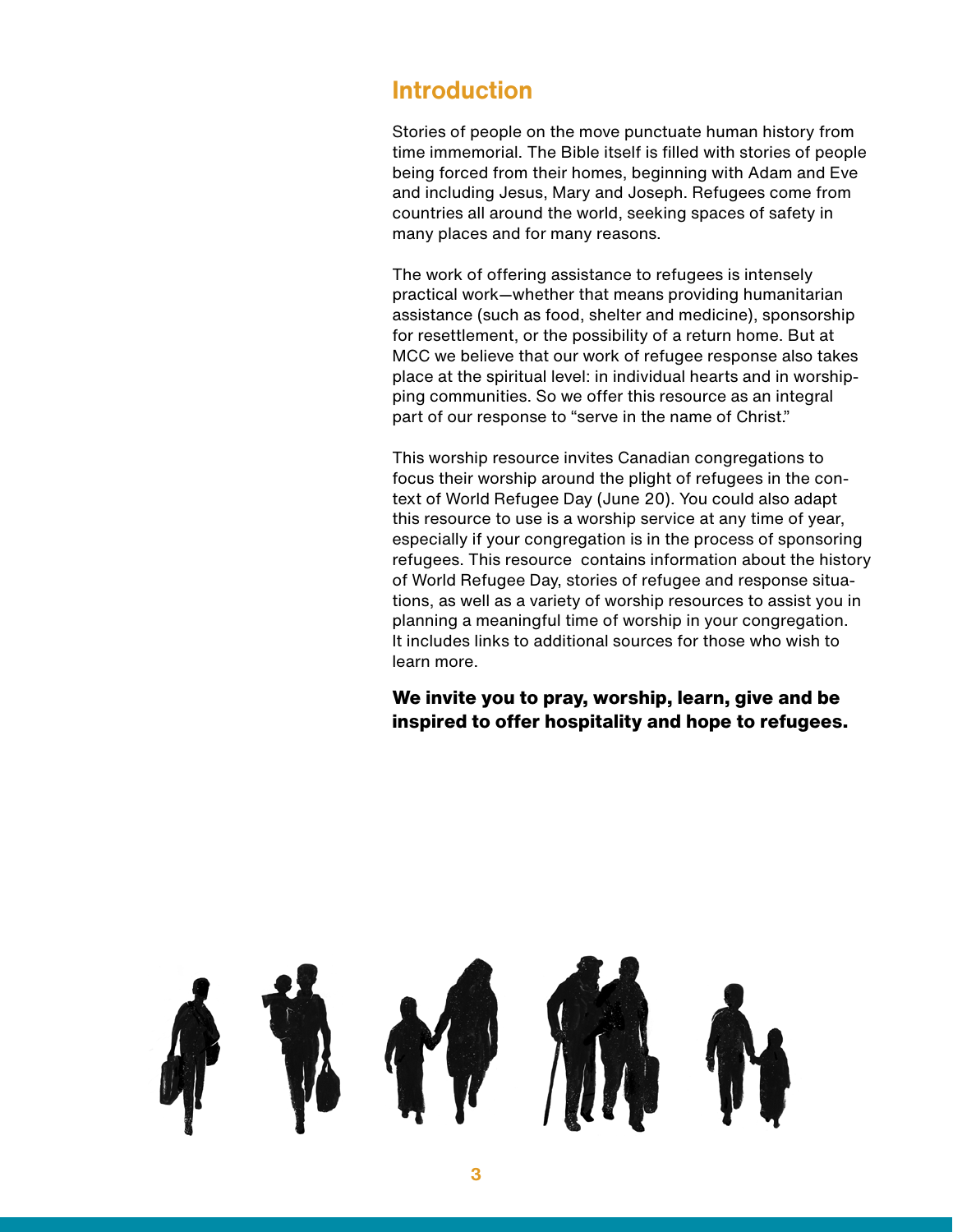### **Introduction**

Stories of people on the move punctuate human history from time immemorial. The Bible itself is filled with stories of people being forced from their homes, beginning with Adam and Eve and including Jesus, Mary and Joseph. Refugees come from countries all around the world, seeking spaces of safety in many places and for many reasons.

The work of offering assistance to refugees is intensely practical work—whether that means providing humanitarian assistance (such as food, shelter and medicine), sponsorship for resettlement, or the possibility of a return home. But at MCC we believe that our work of refugee response also takes place at the spiritual level: in individual hearts and in worshipping communities. So we offer this resource as an integral part of our response to "serve in the name of Christ."

This worship resource invites Canadian congregations to focus their worship around the plight of refugees in the context of World Refugee Day (June 20). You could also adapt this resource to use is a worship service at any time of year, especially if your congregation is in the process of sponsoring refugees. This resource contains information about the history of World Refugee Day, stories of refugee and response situations, as well as a variety of worship resources to assist you in planning a meaningful time of worship in your congregation. It includes links to additional sources for those who wish to learn more.

**We invite you to pray, worship, learn, give and be inspired to offer hospitality and hope to refugees.**

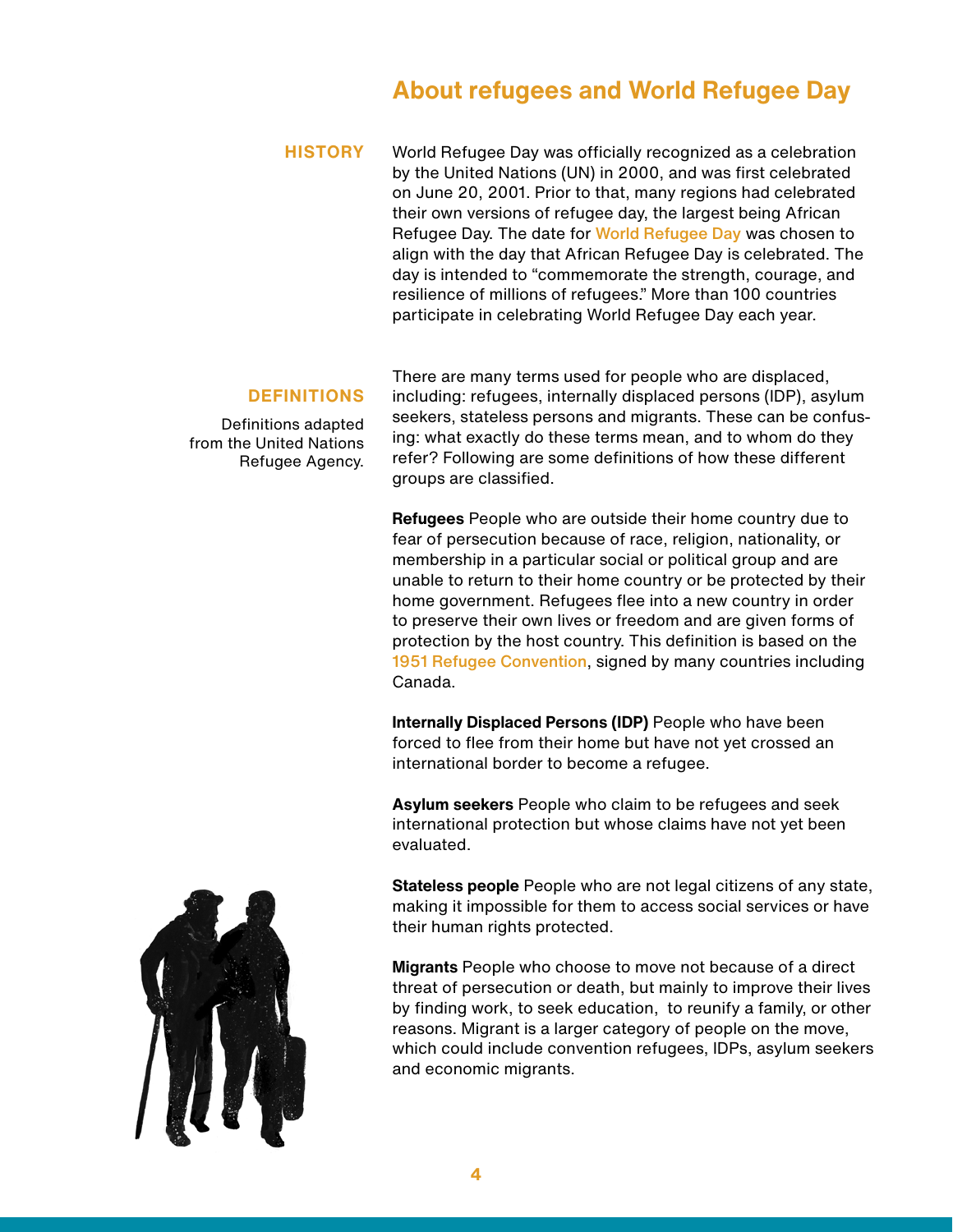## **About refugees and World Refugee Day**

World Refugee Day was officially recognized as a celebration by the United Nations (UN) in 2000, and was first celebrated on June 20, 2001. Prior to that, many regions had celebrated their own versions of refugee day, the largest being African Refugee Day. The date for [World Refugee Day](http://www.unhcr.org/refugeeday/ ) was chosen to align with the day that African Refugee Day is celebrated. The day is intended to "commemorate the strength, courage, and resilience of millions of refugees." More than 100 countries participate in celebrating World Refugee Day each year. **HISTORY**

#### **DEFINITIONS**

Definitions adapted from the United Nations Refugee Agency.

There are many terms used for people who are displaced, including: refugees, internally displaced persons (IDP), asylum seekers, stateless persons and migrants. These can be confusing: what exactly do these terms mean, and to whom do they refer? Following are some definitions of how these different groups are classified.

**Refugees** People who are outside their home country due to fear of persecution because of race, religion, nationality, or membership in a particular social or political group and are unable to return to their home country or be protected by their home government. Refugees flee into a new country in order to preserve their own lives or freedom and are given forms of protection by the host country. This definition is based on the [1951 Refugee Convention](http://www.unhcr.org/pages/49da0e466.html), signed by many countries including Canada.

**Internally Displaced Persons (IDP)** People who have been forced to flee from their home but have not yet crossed an international border to become a refugee.

**Asylum seekers** People who claim to be refugees and seek international protection but whose claims have not yet been evaluated.

**Stateless people** People who are not legal citizens of any state, making it impossible for them to access social services or have their human rights protected.

**Migrants** People who choose to move not because of a direct threat of persecution or death, but mainly to improve their lives by finding work, to seek education, to reunify a family, or other reasons. Migrant is a larger category of people on the move, which could include convention refugees, IDPs, asylum seekers and economic migrants.

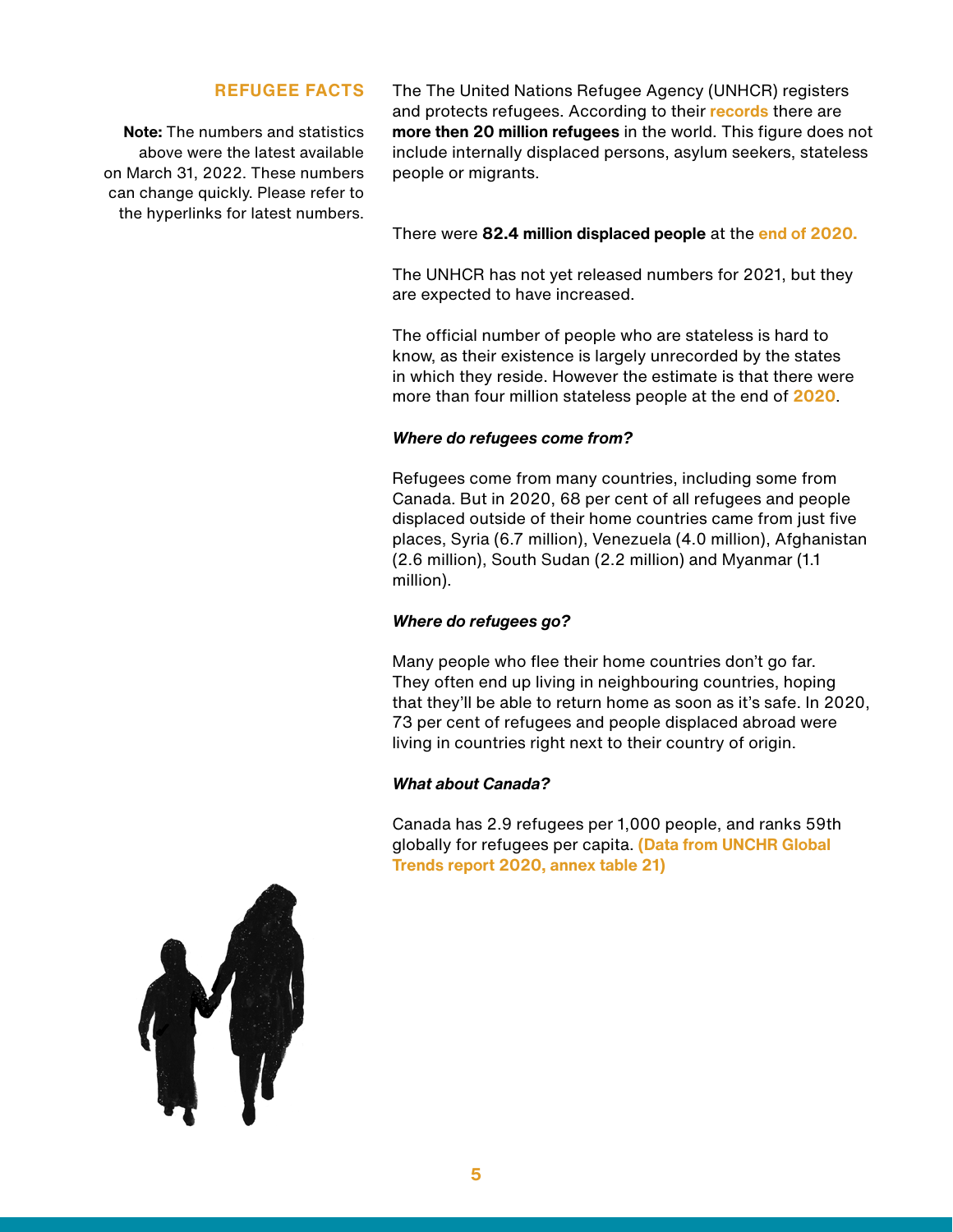#### **REFUGEE FACTS**

**Note:** The numbers and statistics above were the latest available on March 31, 2022. These numbers can change quickly. Please refer to the hyperlinks for latest numbers.

The The United Nations Refugee Agency (UNHCR) registers and protects refugees. According to their **[records](http://www.unhcr.org/figures-at-a-glance.html )** there are **more then 20 million refugees** in the world. This figure does not include internally displaced persons, asylum seekers, stateless people or migrants.

#### There were **82.4 million displaced people** at the **[end of 2020](https://www.unhcr.org/figures-at-a-glance.html%20).**

The UNHCR has not yet released numbers for 2021, but they are expected to have increased.

The official number of people who are stateless is hard to know, as their existence is largely unrecorded by the states in which they reside. However the estimate is that there were more than four million stateless people at the end of **[2020](https://www.unhcr.org/figures-at-a-glance.html%20)**.

#### *Where do refugees come from?*

Refugees come from many countries, including some from Canada. But in 2020, 68 per cent of all refugees and people displaced outside of their home countries came from just five places, Syria (6.7 million), Venezuela (4.0 million), Afghanistan (2.6 million), South Sudan (2.2 million) and Myanmar (1.1 million).

#### *Where do refugees go?*

Many people who flee their home countries don't go far. They often end up living in neighbouring countries, hoping that they'll be able to return home as soon as it's safe. In 2020, 73 per cent of refugees and people displaced abroad were living in countries right next to their country of origin.

#### *What about Canada?*

Canada has 2.9 refugees per 1,000 people, and ranks 59th globally for refugees per capita. **[\(Data from UNCHR Global](https://www.unhcr.org/flagship-reports/globaltrends/)  [Trends report 2020, annex table 21\)](https://www.unhcr.org/flagship-reports/globaltrends/)**

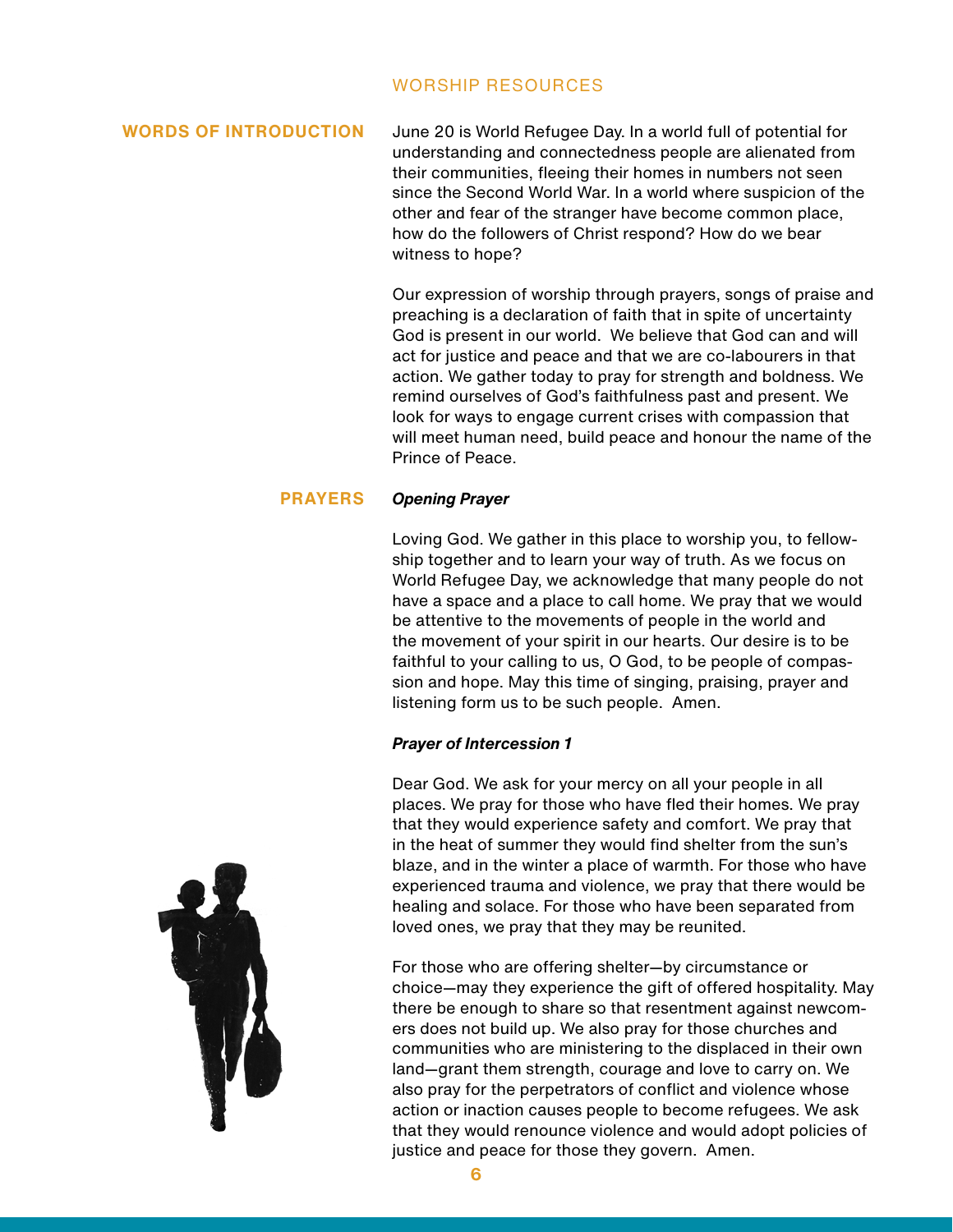#### WORSHIP RESOURCES

#### **WORDS OF INTRODUCTION**

June 20 is World Refugee Day. In a world full of potential for understanding and connectedness people are alienated from their communities, fleeing their homes in numbers not seen since the Second World War. In a world where suspicion of the other and fear of the stranger have become common place, how do the followers of Christ respond? How do we bear witness to hope?

Our expression of worship through prayers, songs of praise and preaching is a declaration of faith that in spite of uncertainty God is present in our world. We believe that God can and will act for justice and peace and that we are co-labourers in that action. We gather today to pray for strength and boldness. We remind ourselves of God's faithfulness past and present. We look for ways to engage current crises with compassion that will meet human need, build peace and honour the name of the Prince of Peace.

#### *Opening Prayer* **PRAYERS**

Loving God. We gather in this place to worship you, to fellowship together and to learn your way of truth. As we focus on World Refugee Day, we acknowledge that many people do not have a space and a place to call home. We pray that we would be attentive to the movements of people in the world and the movement of your spirit in our hearts. Our desire is to be faithful to your calling to us, O God, to be people of compassion and hope. May this time of singing, praising, prayer and listening form us to be such people. Amen.

#### *Prayer of Intercession 1*

Dear God. We ask for your mercy on all your people in all places. We pray for those who have fled their homes. We pray that they would experience safety and comfort. We pray that in the heat of summer they would find shelter from the sun's blaze, and in the winter a place of warmth. For those who have experienced trauma and violence, we pray that there would be healing and solace. For those who have been separated from loved ones, we pray that they may be reunited.

For those who are offering shelter—by circumstance or choice—may they experience the gift of offered hospitality. May there be enough to share so that resentment against newcomers does not build up. We also pray for those churches and communities who are ministering to the displaced in their own land—grant them strength, courage and love to carry on. We also pray for the perpetrators of conflict and violence whose action or inaction causes people to become refugees. We ask that they would renounce violence and would adopt policies of justice and peace for those they govern. Amen.

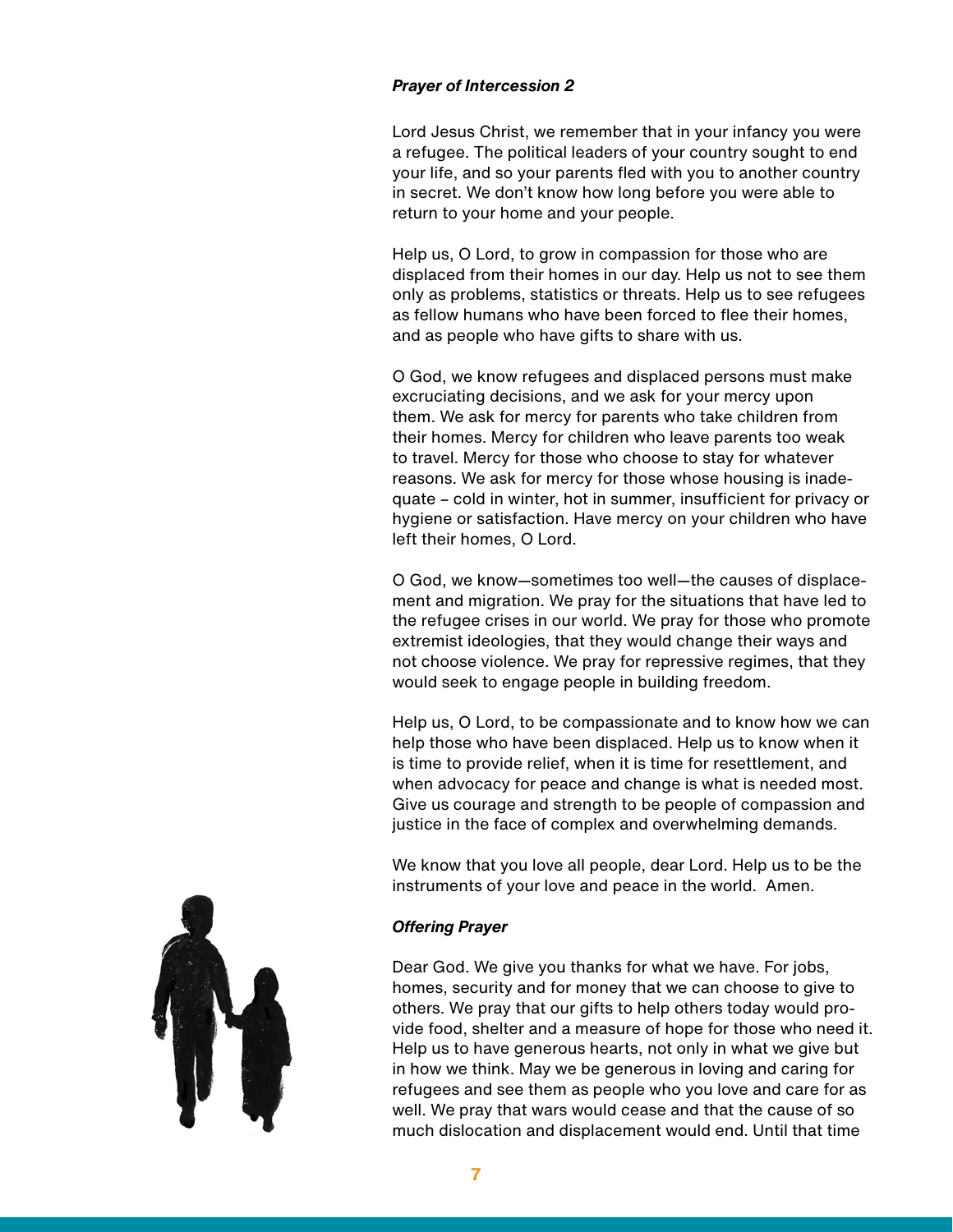#### *Prayer of Intercession 2*

Lord Jesus Christ, we remember that in your infancy you were a refugee. The political leaders of your country sought to end your life, and so your parents fled with you to another country in secret. We don't know how long before you were able to return to your home and your people.

Help us, O Lord, to grow in compassion for those who are displaced from their homes in our day. Help us not to see them only as problems, statistics or threats. Help us to see refugees as fellow humans who have been forced to flee their homes, and as people who have gifts to share with us.

O God, we know refugees and displaced persons must make excruciating decisions, and we ask for your mercy upon them. We ask for mercy for parents who take children from their homes. Mercy for children who leave parents too weak to travel. Mercy for those who choose to stay for whatever reasons. We ask for mercy for those whose housing is inadequate – cold in winter, hot in summer, insufficient for privacy or hygiene or satisfaction. Have mercy on your children who have left their homes, O Lord.

O God, we know—sometimes too well—the causes of displacement and migration. We pray for the situations that have led to the refugee crises in our world. We pray for those who promote extremist ideologies, that they would change their ways and not choose violence. We pray for repressive regimes, that they would seek to engage people in building freedom.

Help us, O Lord, to be compassionate and to know how we can help those who have been displaced. Help us to know when it is time to provide relief, when it is time for resettlement, and when advocacy for peace and change is what is needed most. Give us courage and strength to be people of compassion and justice in the face of complex and overwhelming demands.

We know that you love all people, dear Lord. Help us to be the instruments of your love and peace in the world. Amen.

#### *Offering Prayer*

Dear God. We give you thanks for what we have. For jobs, homes, security and for money that we can choose to give to others. We pray that our gifts to help others today would provide food, shelter and a measure of hope for those who need it. Help us to have generous hearts, not only in what we give but in how we think. May we be generous in loving and caring for refugees and see them as people who you love and care for as well. We pray that wars would cease and that the cause of so much dislocation and displacement would end. Until that time

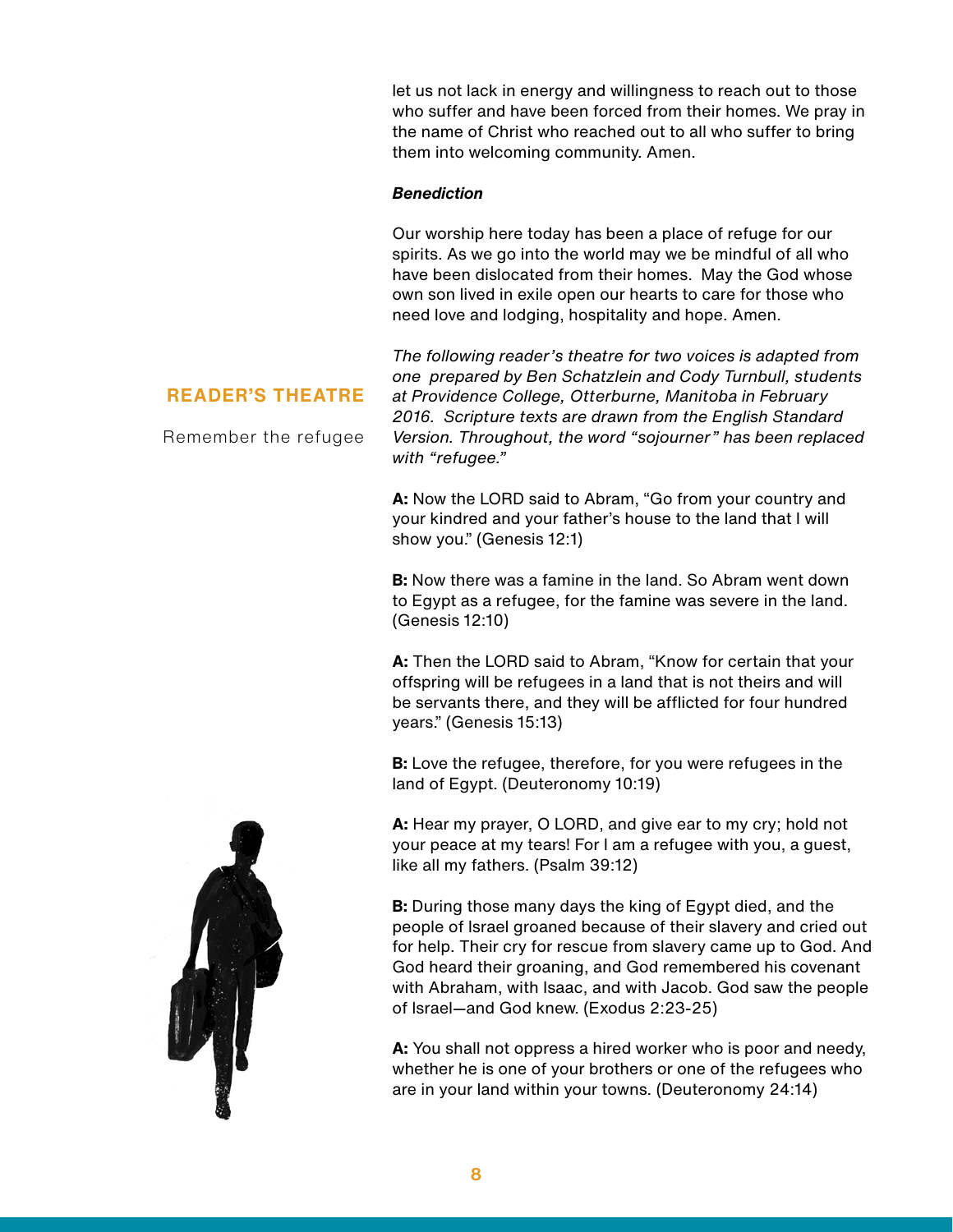let us not lack in energy and willingness to reach out to those who suffer and have been forced from their homes. We pray in the name of Christ who reached out to all who suffer to bring them into welcoming community. Amen.

#### *Benediction*

Our worship here today has been a place of refuge for our spirits. As we go into the world may we be mindful of all who have been dislocated from their homes. May the God whose own son lived in exile open our hearts to care for those who need love and lodging, hospitality and hope. Amen.

#### **READER'S THEATRE**

Remember the refugee

*The following reader's theatre for two voices is adapted from one prepared by Ben Schatzlein and Cody Turnbull, students at Providence College, Otterburne, Manitoba in February 2016. Scripture texts are drawn from the English Standard Version. Throughout, the word "sojourner" has been replaced with "refugee."*

**A:** Now the LORD said to Abram, "Go from your country and your kindred and your father's house to the land that I will show you." (Genesis 12:1)

**B:** Now there was a famine in the land. So Abram went down to Egypt as a refugee, for the famine was severe in the land. (Genesis 12:10)

**A:** Then the LORD said to Abram, "Know for certain that your offspring will be refugees in a land that is not theirs and will be servants there, and they will be afflicted for four hundred years." (Genesis 15:13)

**B:** Love the refugee, therefore, for you were refugees in the land of Egypt. (Deuteronomy 10:19)

**A:** Hear my prayer, O LORD, and give ear to my cry; hold not your peace at my tears! For I am a refugee with you, a guest, like all my fathers. (Psalm 39:12)

**B:** During those many days the king of Egypt died, and the people of Israel groaned because of their slavery and cried out for help. Their cry for rescue from slavery came up to God. And God heard their groaning, and God remembered his covenant with Abraham, with Isaac, and with Jacob. God saw the people of Israel—and God knew. (Exodus 2:23-25)

**A:** You shall not oppress a hired worker who is poor and needy, whether he is one of your brothers or one of the refugees who are in your land within your towns. (Deuteronomy 24:14)

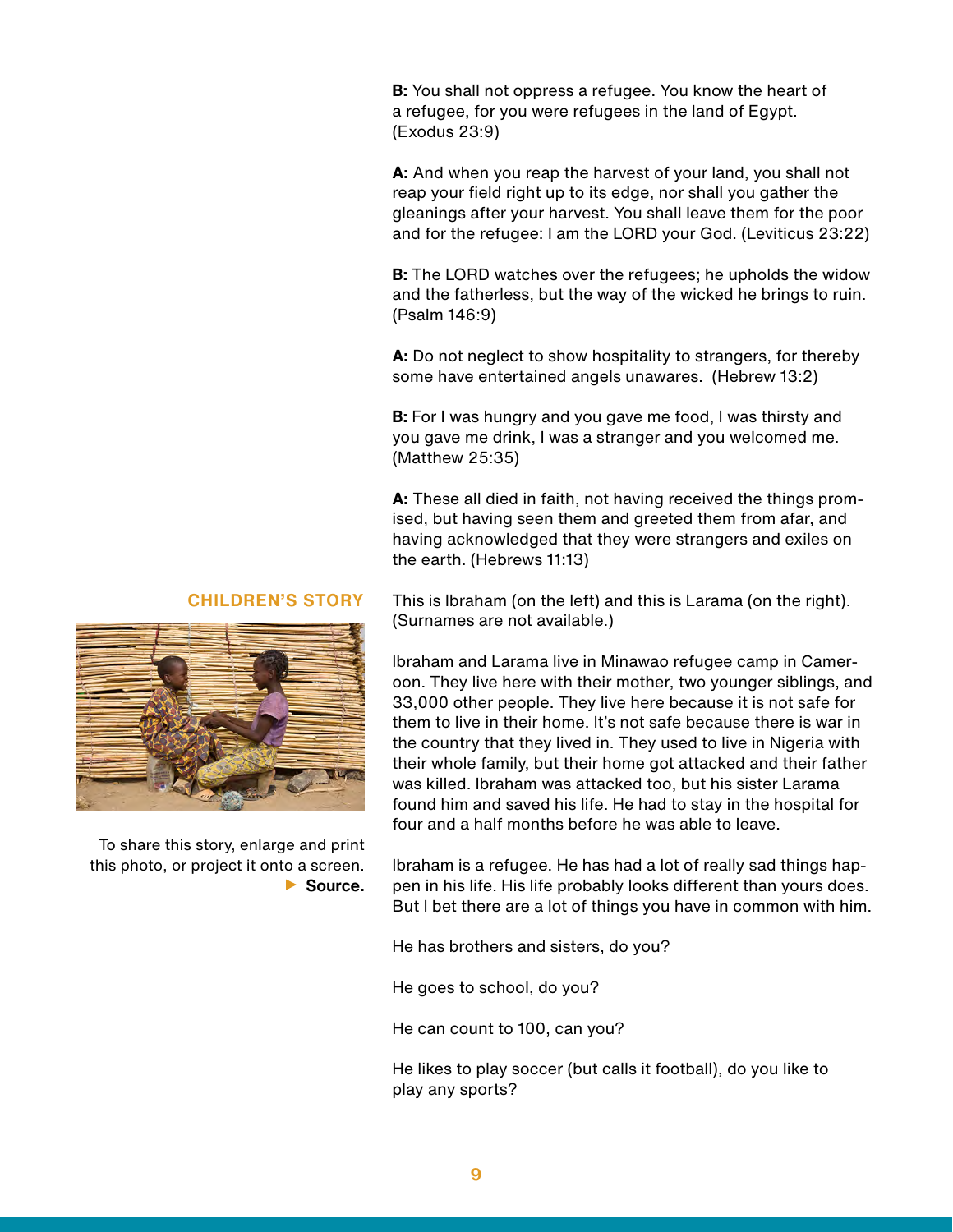**B:** You shall not oppress a refugee. You know the heart of a refugee, for you were refugees in the land of Egypt. (Exodus 23:9)

**A:** And when you reap the harvest of your land, you shall not reap your field right up to its edge, nor shall you gather the gleanings after your harvest. You shall leave them for the poor and for the refugee: I am the LORD your God. (Leviticus 23:22)

**B:** The LORD watches over the refugees; he upholds the widow and the fatherless, but the way of the wicked he brings to ruin. (Psalm 146:9)

**A:** Do not neglect to show hospitality to strangers, for thereby some have entertained angels unawares. (Hebrew 13:2)

**B:** For I was hungry and you gave me food, I was thirsty and you gave me drink, I was a stranger and you welcomed me. (Matthew 25:35)

**A:** These all died in faith, not having received the things promised, but having seen them and greeted them from afar, and having acknowledged that they were strangers and exiles on the earth. (Hebrews 11:13)

This is Ibraham (on the left) and this is Larama (on the right). (Surnames are not available.)

Ibraham and Larama live in Minawao refugee camp in Cameroon. They live here with their mother, two younger siblings, and 33,000 other people. They live here because it is not safe for them to live in their home. It's not safe because there is war in the country that they lived in. They used to live in Nigeria with their whole family, but their home got attacked and their father was killed. Ibraham was attacked too, but his sister Larama found him and saved his life. He had to stay in the hospital for four and a half months before he was able to leave.

Ibraham is a refugee. He has had a lot of really sad things happen in his life. His life probably looks different than yours does. But I bet there are a lot of things you have in common with him.

He has brothers and sisters, do you?

He goes to school, do you?

He can count to 100, can you?

He likes to play soccer (but calls it football), do you like to play any sports?

#### **CHILDREN'S STORY**



**[Source.](http://www.unhcr.ca/news/the-boy-who-was-buried-alive-and-survived/ )**  To share this story, enlarge and print this photo, or project it onto a screen.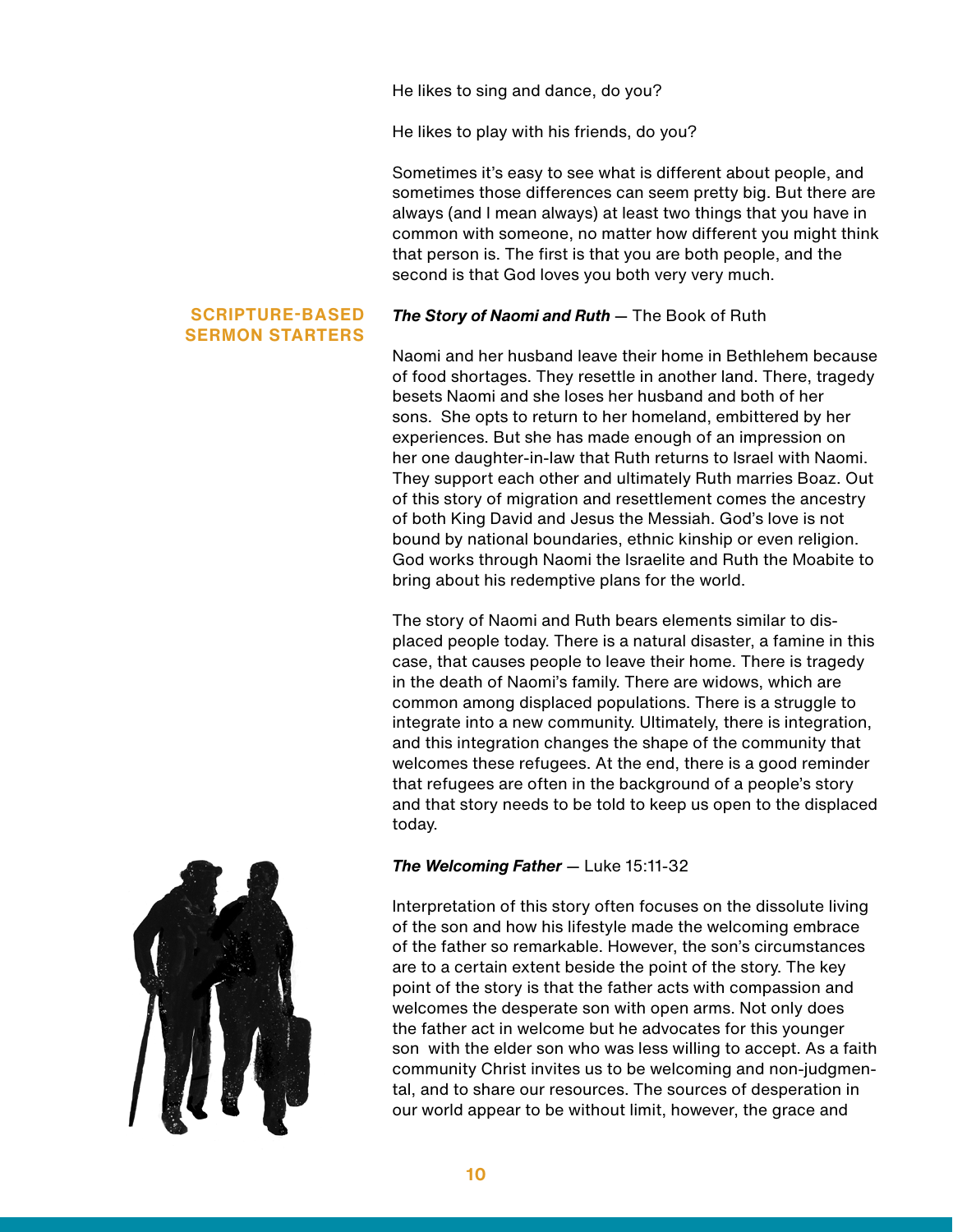He likes to sing and dance, do you?

He likes to play with his friends, do you?

Sometimes it's easy to see what is different about people, and sometimes those differences can seem pretty big. But there are always (and I mean always) at least two things that you have in common with someone, no matter how different you might think that person is. The first is that you are both people, and the second is that God loves you both very very much.

#### **SCRIPTURE-BASED SERMON STARTERS**

#### *The Story of Naomi and Ruth* — The Book of Ruth

Naomi and her husband leave their home in Bethlehem because of food shortages. They resettle in another land. There, tragedy besets Naomi and she loses her husband and both of her sons. She opts to return to her homeland, embittered by her experiences. But she has made enough of an impression on her one daughter-in-law that Ruth returns to Israel with Naomi. They support each other and ultimately Ruth marries Boaz. Out of this story of migration and resettlement comes the ancestry of both King David and Jesus the Messiah. God's love is not bound by national boundaries, ethnic kinship or even religion. God works through Naomi the Israelite and Ruth the Moabite to bring about his redemptive plans for the world.

The story of Naomi and Ruth bears elements similar to displaced people today. There is a natural disaster, a famine in this case, that causes people to leave their home. There is tragedy in the death of Naomi's family. There are widows, which are common among displaced populations. There is a struggle to integrate into a new community. Ultimately, there is integration, and this integration changes the shape of the community that welcomes these refugees. At the end, there is a good reminder that refugees are often in the background of a people's story and that story needs to be told to keep us open to the displaced today.

#### *The Welcoming Father* — Luke 15:11-32

Interpretation of this story often focuses on the dissolute living of the son and how his lifestyle made the welcoming embrace of the father so remarkable. However, the son's circumstances are to a certain extent beside the point of the story. The key point of the story is that the father acts with compassion and welcomes the desperate son with open arms. Not only does the father act in welcome but he advocates for this younger son with the elder son who was less willing to accept. As a faith community Christ invites us to be welcoming and non-judgmental, and to share our resources. The sources of desperation in our world appear to be without limit, however, the grace and

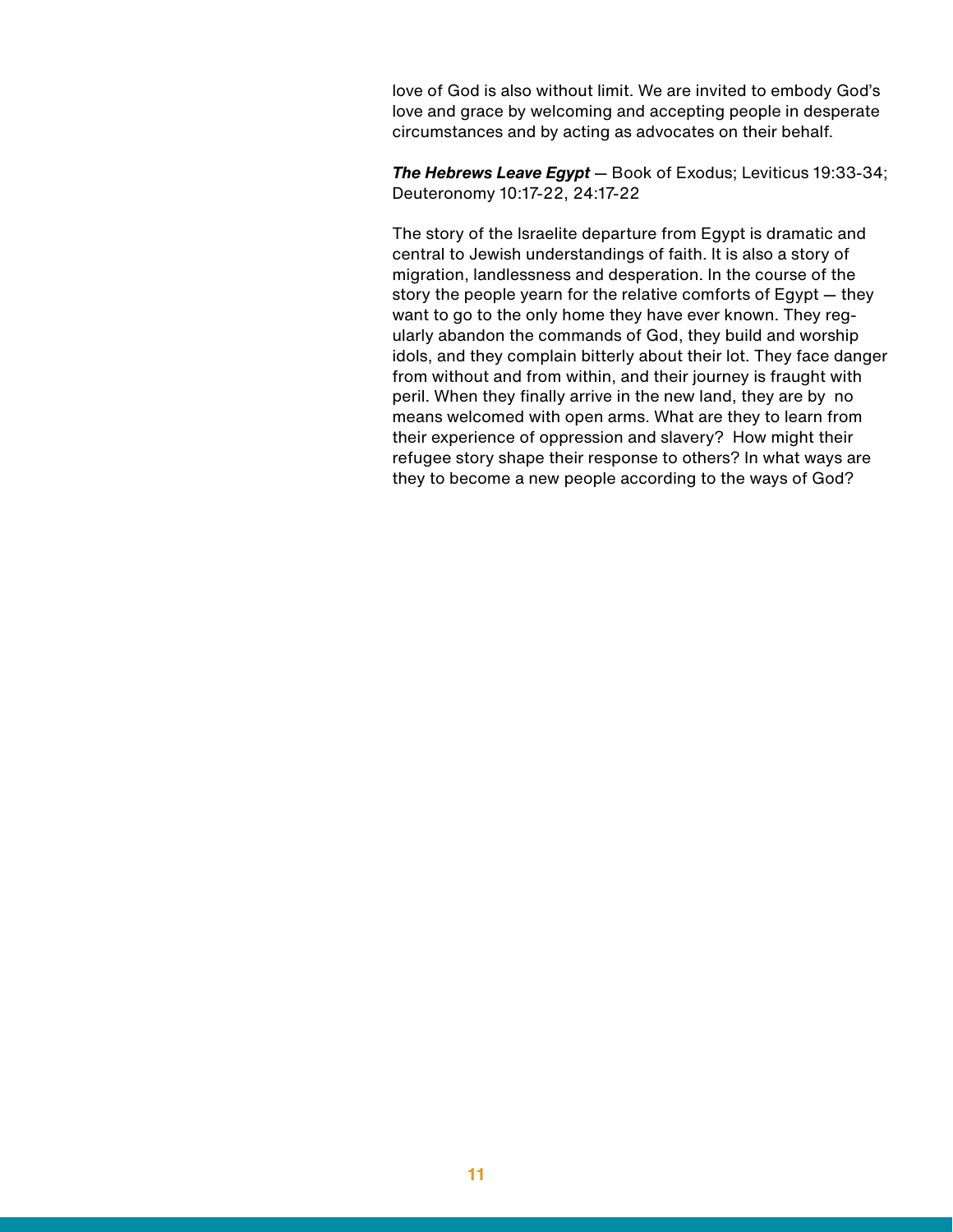love of God is also without limit. We are invited to embody God's love and grace by welcoming and accepting people in desperate circumstances and by acting as advocates on their behalf.

*The Hebrews Leave Egypt* — Book of Exodus; Leviticus 19:33-34; Deuteronomy 10:17-22, 24:17-22

The story of the Israelite departure from Egypt is dramatic and central to Jewish understandings of faith. It is also a story of migration, landlessness and desperation. In the course of the story the people yearn for the relative comforts of Egypt — they want to go to the only home they have ever known. They regularly abandon the commands of God, they build and worship idols, and they complain bitterly about their lot. They face danger from without and from within, and their journey is fraught with peril. When they finally arrive in the new land, they are by no means welcomed with open arms. What are they to learn from their experience of oppression and slavery? How might their refugee story shape their response to others? In what ways are they to become a new people according to the ways of God?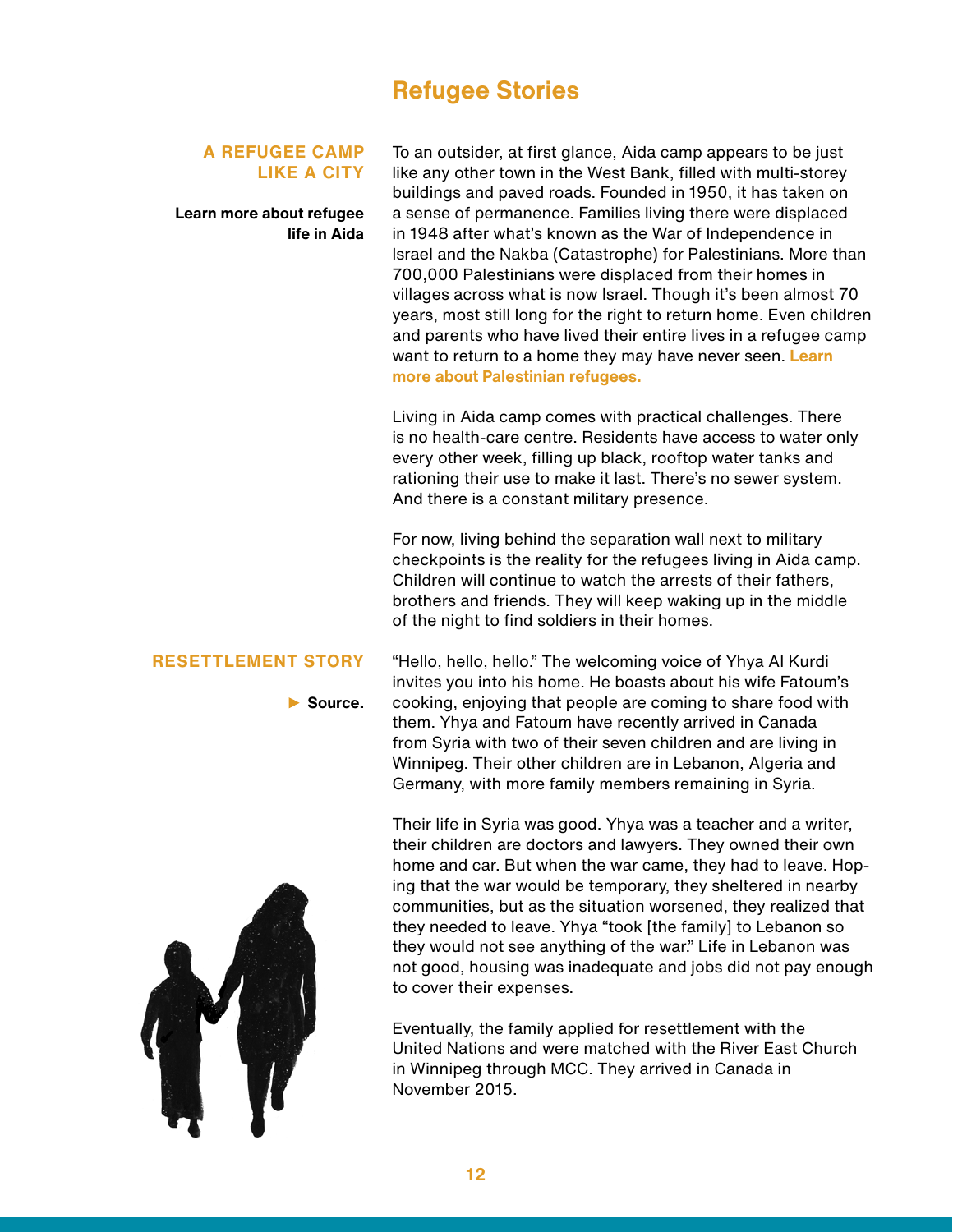# **Refugee Stories**

#### **A REFUGEE CAMP LIKE A CITY**

**[Learn more about refugee](https://mcccanada.ca/stories/coping-life-refugee-camp) [life in Aida](https://mcccanada.ca/stories/coping-life-refugee-camp)**

To an outsider, at first glance, Aida camp appears to be just like any other town in the West Bank, filled with multi-storey buildings and paved roads. Founded in 1950, it has taken on a sense of permanence. Families living there were displaced in 1948 after what's known as the War of Independence in Israel and the Nakba (Catastrophe) for Palestinians. More than 700,000 Palestinians were displaced from their homes in villages across what is now Israel. Though it's been almost 70 years, most still long for the right to return home. Even children and parents who have lived their entire lives in a refugee camp want to return to a home they may have never seen. **[Learn](https://mcccanada.ca/stories/fact-sheet-refugees)  [more about Palestinian refugees.](https://mcccanada.ca/stories/fact-sheet-refugees)**

Living in Aida camp comes with practical challenges. There is no health-care centre. Residents have access to water only every other week, filling up black, rooftop water tanks and rationing their use to make it last. There's no sewer system. And there is a constant military presence.

For now, living behind the separation wall next to military checkpoints is the reality for the refugees living in Aida camp. Children will continue to watch the arrests of their fathers, brothers and friends. They will keep waking up in the middle of the night to find soldiers in their homes.

#### **RESETTLEMENT STORY**

**[Source.](http://mcccanada.ca/stories/syrian-refugees-arrive-canada)** 

"Hello, hello, hello." The welcoming voice of Yhya Al Kurdi invites you into his home. He boasts about his wife Fatoum's cooking, enjoying that people are coming to share food with them. Yhya and Fatoum have recently arrived in Canada from Syria with two of their seven children and are living in Winnipeg. Their other children are in Lebanon, Algeria and Germany, with more family members remaining in Syria.

Their life in Syria was good. Yhya was a teacher and a writer, their children are doctors and lawyers. They owned their own home and car. But when the war came, they had to leave. Hoping that the war would be temporary, they sheltered in nearby communities, but as the situation worsened, they realized that they needed to leave. Yhya "took [the family] to Lebanon so they would not see anything of the war." Life in Lebanon was not good, housing was inadequate and jobs did not pay enough to cover their expenses.

Eventually, the family applied for resettlement with the United Nations and were matched with the River East Church in Winnipeg through MCC. They arrived in Canada in November 2015.

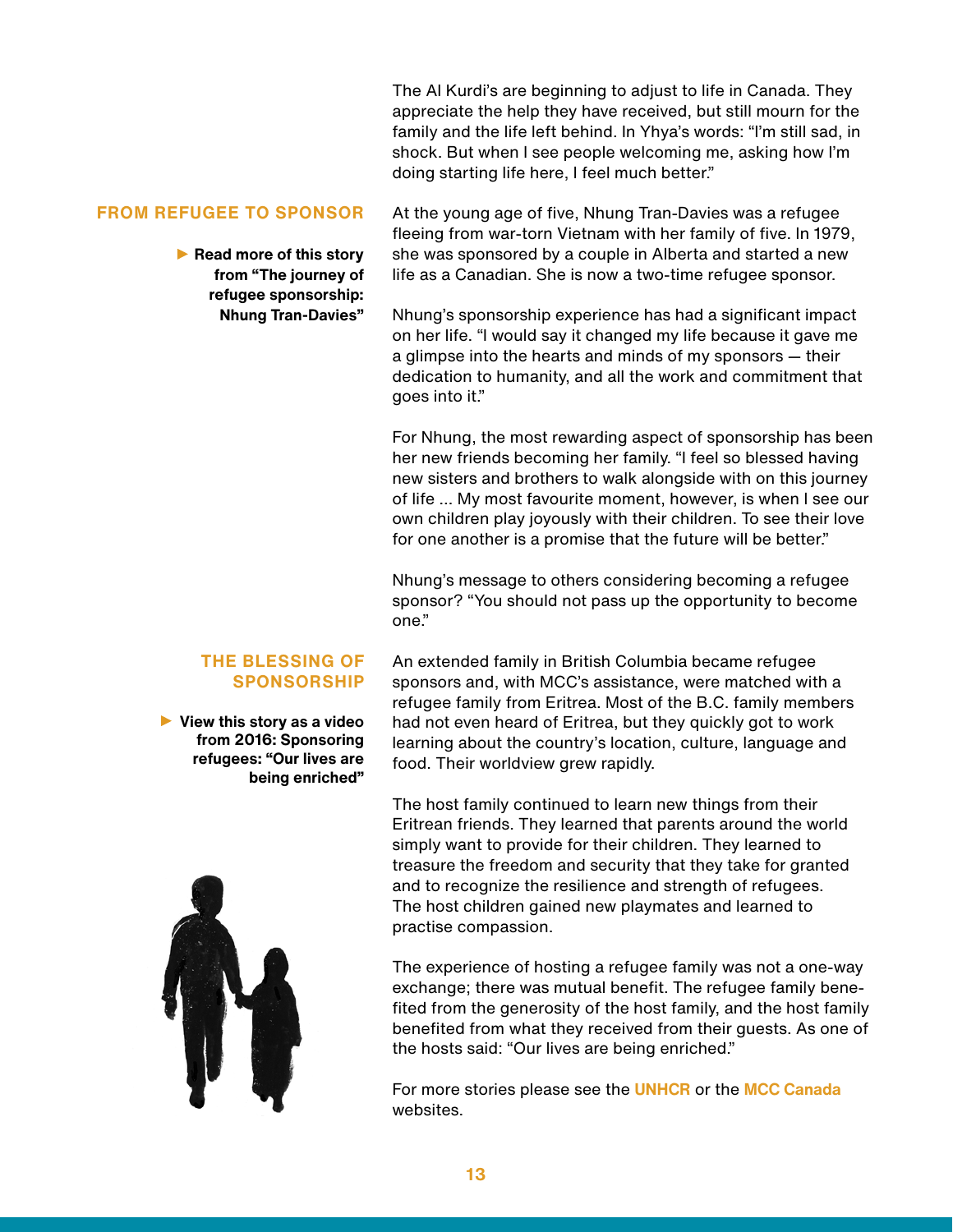The Al Kurdi's are beginning to adjust to life in Canada. They appreciate the help they have received, but still mourn for the family and the life left behind. In Yhya's words: "I'm still sad, in shock. But when I see people welcoming me, asking how I'm doing starting life here, I feel much better."

#### **FROM REFUGEE TO SPONSOR**

**Read more of this story from ["The journey of](https://mcccanada.ca/stories/journey-refugee-sponsorship-nhung-tran-davies)  [refugee sponsorship:](https://mcccanada.ca/stories/journey-refugee-sponsorship-nhung-tran-davies)  [Nhung Tran-Davies"](https://mcccanada.ca/stories/journey-refugee-sponsorship-nhung-tran-davies)**

At the young age of five, Nhung Tran-Davies was a refugee fleeing from war-torn Vietnam with her family of five. In 1979, she was sponsored by a couple in Alberta and started a new life as a Canadian. She is now a two-time refugee sponsor.

Nhung's sponsorship experience has had a significant impact on her life. "I would say it changed my life because it gave me a glimpse into the hearts and minds of my sponsors — their dedication to humanity, and all the work and commitment that goes into it."

For Nhung, the most rewarding aspect of sponsorship has been her new friends becoming her family. "I feel so blessed having new sisters and brothers to walk alongside with on this journey of life … My most favourite moment, however, is when I see our own children play joyously with their children. To see their love for one another is a promise that the future will be better."

Nhung's message to others considering becoming a refugee sponsor? "You should not pass up the opportunity to become one."

#### **THE BLESSING OF SPONSORSHIP**

**[View this story as a video](https://youtu.be/RzPNZVl-ZAM)  from 2016: Sponsoring refugees: "Our lives are being enriched"** 

An extended family in British Columbia became refugee sponsors and, with MCC's assistance, were matched with a refugee family from Eritrea. Most of the B.C. family members had not even heard of Eritrea, but they quickly got to work learning about the country's location, culture, language and food. Their worldview grew rapidly.

The host family continued to learn new things from their Eritrean friends. They learned that parents around the world simply want to provide for their children. They learned to treasure the freedom and security that they take for granted and to recognize the resilience and strength of refugees. The host children gained new playmates and learned to practise compassion.

The experience of hosting a refugee family was not a one-way exchange; there was mutual benefit. The refugee family benefited from the generosity of the host family, and the host family benefited from what they received from their guests. As one of the hosts said: "Our lives are being enriched."

For more stories please see the **[UNHCR](http://www.unhcr.org/refugeeday/stories/)** or the **[MCC Canada](http://mcccanada.ca/stories/syrian-refugee-girls-find-light-hope)** websites.